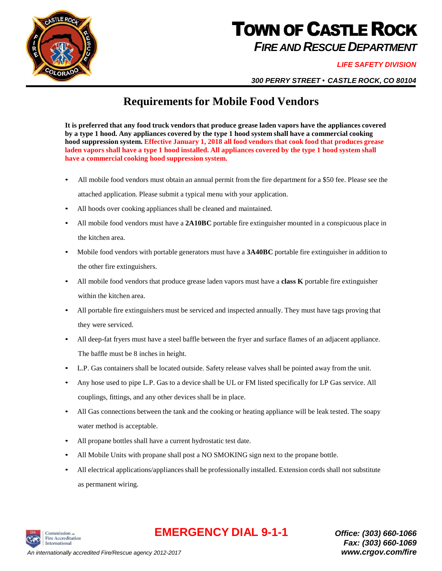

# **TOWN OF CASTLE ROCK** *FIRE AND RESCUE DEPARTMENT*

#### *LIFE SAFETY DIVISION*

*300 PERRY STREET* • *CASTLE ROCK, CO 80104*

### **Requirements for Mobile Food Vendors**

**It is preferred that any food truck vendors that produce grease laden vapors have the appliances covered by a type 1 hood. Any appliances covered by the type 1 hood system shall have a commercial cooking hood suppression system. Effective January 1, 2018 all food vendors that cook food that produces grease**  laden vapors shall have a type 1 hood installed. All appliances covered by the type 1 hood system shall **have a commercial cooking hood suppression system.**

- All mobile food vendors must obtain an annual permit from the fire department for a \$50 fee. Please see the attached application. Please submit a typical menu with your application.
- All hoods over cooking appliances shall be cleaned and maintained.
- All mobile food vendors must have a **2A10BC** portable fire extinguisher mounted in a conspicuous place in the kitchen area.
- Mobile food vendors with portable generators must have a **3A40BC** portable fire extinguisher in addition to the other fire extinguishers.
- All mobile food vendors that produce grease laden vapors must have a **class K** portable fire extinguisher within the kitchen area.
- All portable fire extinguishers must be serviced and inspected annually. They must have tags proving that they were serviced.
- All deep-fat fryers must have a steel baffle between the fryer and surface flames of an adjacent appliance. The baffle must be 8 inches in height.
- L.P. Gas containers shall be located outside. Safety release valves shall be pointed away from the unit.
- Any hose used to pipe L.P. Gas to a device shall be UL or FM listed specifically for LP Gas service. All couplings, fittings, and any other devices shall be in place.
- All Gas connections between the tank and the cooking or heating appliance will be leak tested. The soapy water method is acceptable.
- All propane bottles shall have a current hydrostatic test date.
- All Mobile Units with propane shall post a NO SMOKING sign next to the propane bottle.
- All electrical applications/appliancesshall be professionally installed. Extension cords shall not substitute as permanent wiring.



## **EMERGENCY DIAL 9-1-1** *Office: (303) 660-1066*

*Fax: (303) 660-1069*